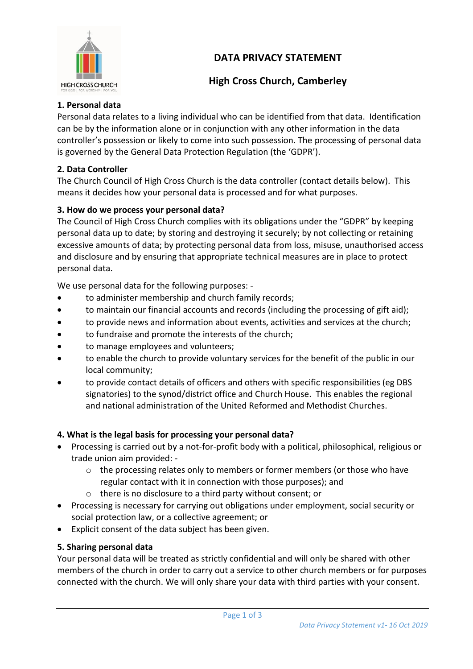# **DATA PRIVACY STATEMENT**



## **High Cross Church, Camberley**

#### **1. Personal data**

Personal data relates to a living individual who can be identified from that data. Identification can be by the information alone or in conjunction with any other information in the data controller's possession or likely to come into such possession. The processing of personal data is governed by the General Data Protection Regulation (the 'GDPR').

#### **2. Data Controller**

The Church Council of High Cross Church is the data controller (contact details below). This means it decides how your personal data is processed and for what purposes.

### **3. How do we process your personal data?**

The Council of High Cross Church complies with its obligations under the "GDPR" by keeping personal data up to date; by storing and destroying it securely; by not collecting or retaining excessive amounts of data; by protecting personal data from loss, misuse, unauthorised access and disclosure and by ensuring that appropriate technical measures are in place to protect personal data.

We use personal data for the following purposes: -

- to administer membership and church family records;
- to maintain our financial accounts and records (including the processing of gift aid);
- to provide news and information about events, activities and services at the church;
- to fundraise and promote the interests of the church;
- to manage employees and volunteers;
- to enable the church to provide voluntary services for the benefit of the public in our local community;
- to provide contact details of officers and others with specific responsibilities (eg DBS signatories) to the synod/district office and Church House. This enables the regional and national administration of the United Reformed and Methodist Churches.

#### **4. What is the legal basis for processing your personal data?**

- Processing is carried out by a not-for-profit body with a political, philosophical, religious or trade union aim provided: -
	- $\circ$  the processing relates only to members or former members (or those who have regular contact with it in connection with those purposes); and
	- o there is no disclosure to a third party without consent; or
- Processing is necessary for carrying out obligations under employment, social security or social protection law, or a collective agreement; or
- Explicit consent of the data subject has been given.

#### **5. Sharing personal data**

Your personal data will be treated as strictly confidential and will only be shared with other members of the church in order to carry out a service to other church members or for purposes connected with the church. We will only share your data with third parties with your consent.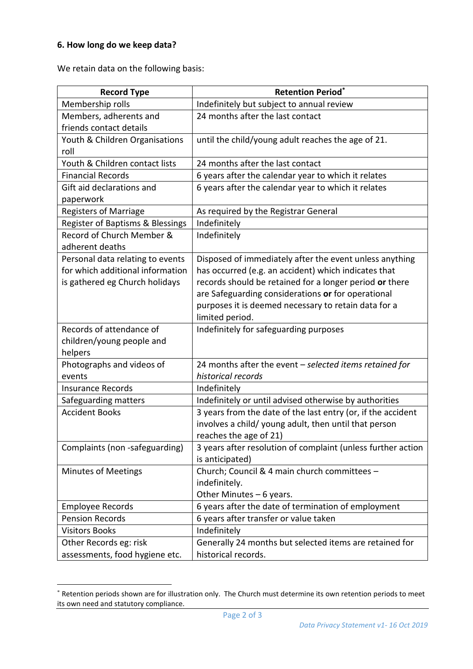#### **6. How long do we keep data?**

We retain data on the following basis:

| <b>Record Type</b>               | <b>Retention Period*</b>                                     |
|----------------------------------|--------------------------------------------------------------|
| Membership rolls                 | Indefinitely but subject to annual review                    |
| Members, adherents and           | 24 months after the last contact                             |
| friends contact details          |                                                              |
| Youth & Children Organisations   | until the child/young adult reaches the age of 21.           |
| roll                             |                                                              |
| Youth & Children contact lists   | 24 months after the last contact                             |
| <b>Financial Records</b>         | 6 years after the calendar year to which it relates          |
| Gift aid declarations and        | 6 years after the calendar year to which it relates          |
| paperwork                        |                                                              |
| <b>Registers of Marriage</b>     | As required by the Registrar General                         |
| Register of Baptisms & Blessings | Indefinitely                                                 |
| Record of Church Member &        | Indefinitely                                                 |
| adherent deaths                  |                                                              |
| Personal data relating to events | Disposed of immediately after the event unless anything      |
| for which additional information | has occurred (e.g. an accident) which indicates that         |
| is gathered eg Church holidays   | records should be retained for a longer period or there      |
|                                  | are Safeguarding considerations or for operational           |
|                                  | purposes it is deemed necessary to retain data for a         |
|                                  | limited period.                                              |
| Records of attendance of         | Indefinitely for safeguarding purposes                       |
| children/young people and        |                                                              |
| helpers                          |                                                              |
| Photographs and videos of        | 24 months after the event - selected items retained for      |
| events                           | historical records                                           |
| <b>Insurance Records</b>         | Indefinitely                                                 |
| Safeguarding matters             | Indefinitely or until advised otherwise by authorities       |
| <b>Accident Books</b>            | 3 years from the date of the last entry (or, if the accident |
|                                  | involves a child/ young adult, then until that person        |
|                                  | reaches the age of 21)                                       |
| Complaints (non -safeguarding)   | 3 years after resolution of complaint (unless further action |
|                                  | is anticipated)                                              |
| <b>Minutes of Meetings</b>       | Church; Council & 4 main church committees -                 |
|                                  | indefinitely.                                                |
|                                  | Other Minutes $-6$ years.                                    |
| <b>Employee Records</b>          | 6 years after the date of termination of employment          |
| <b>Pension Records</b>           | 6 years after transfer or value taken                        |
| <b>Visitors Books</b>            | Indefinitely                                                 |
| Other Records eg: risk           | Generally 24 months but selected items are retained for      |
| assessments, food hygiene etc.   | historical records.                                          |

<sup>\*</sup> Retention periods shown are for illustration only. The Church must determine its own retention periods to meet its own need and statutory compliance.